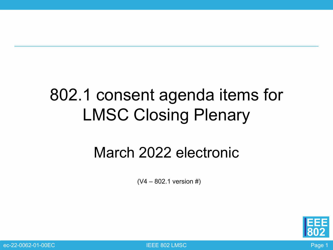### 802.1 consent agenda items for LMSC Closing Plenary

#### March 2022 electronic

 $(V4 - 802.1$  version #)



ec-22-0062-01-00EC IEEE 802 LMSC Page 1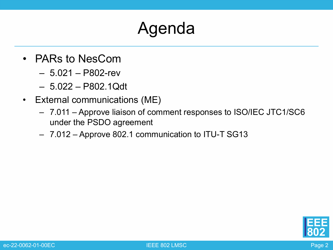## Agenda

- PARs to NesCom
	- 5.021 P802-rev
	- 5.022 P802.1Qdt
- External communications (ME)
	- 7.011 Approve liaison of comment responses to ISO/IEC JTC1/SC6 under the PSDO agreement
	- 7.012 Approve 802.1 communication to ITU-T SG13

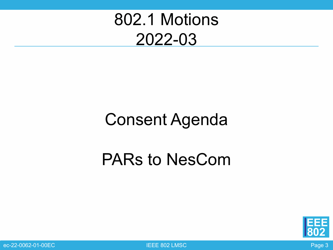

#### Consent Agenda

#### PARs to NesCom



ec-22-0062-01-00EC **Page 3** Research 2012 THE ROSE RESEARCH 2012 THE RESEARCH 2014 THE RESEARCH 2014 THE RESEARCH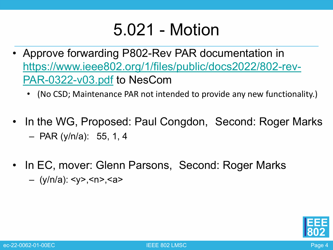#### 5.021 - Motion

- Approve forwarding P802-Rev PAR documentation in [https://www.ieee802.org/1/files/public/docs2022/802-rev-](https://www.ieee802.org/1/files/public/docs2022/802-rev-PAR-0322-v03.pdf)PAR-0322-v03.pdf to NesCom
	- (No CSD; Maintenance PAR not intended to provide any new functionality.)
- In the WG, Proposed: Paul Congdon, Second: Roger Marks – PAR (y/n/a): 55, 1, 4
- In EC, mover: Glenn Parsons, Second: Roger Marks – (y/n/a): <y>,<n>,<a>

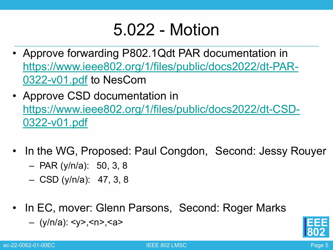### 5.022 - Motion

- Approve forwarding P802.1Qdt PAR documentation in [https://www.ieee802.org/1/files/public/docs2022/dt-PAR-](https://www.ieee802.org/1/files/public/docs2022/dt-PAR-0322-v01.pdf)0322-v01.pdf to NesCom
- Approve CSD documentation in [https://www.ieee802.org/1/files/public/docs2022/dt-CSD-](https://www.ieee802.org/1/files/public/docs2022/dt-CSD-0322-v01.pdf)0322-v01.pdf
- In the WG, Proposed: Paul Congdon, Second: Jessy Rouyer
	- PAR (y/n/a): 50, 3, 8
	- CSD (y/n/a): 47, 3, 8
- In EC, mover: Glenn Parsons, Second: Roger Marks
	- (y/n/a): <y>,<n>,<a>

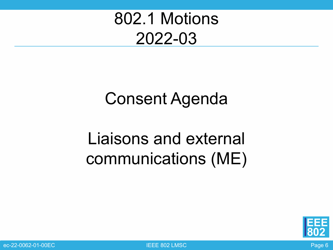## 802.1 Motions 2022-03

# Consent Agenda

# Liaisons and external communications (ME)



ec-22-0062-01-00EC IEEE 802 LMSC Page 6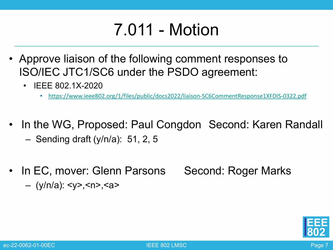## 7.011 - Motion

- Approve liaison of the following comment responses to ISO/IEC JTC1/SC6 under the PSDO agreement:
	- IEEE 802.1X-2020
		- <https://www.ieee802.org/1/files/public/docs2022/liaison-SC6CommentResponse1XFDIS-0322.pdf>
- In the WG, Proposed: Paul Congdon Second: Karen Randall
	- Sending draft (y/n/a): 51, 2, 5
- In EC, mover: Glenn Parsons Second: Roger Marks – (y/n/a): <y>,<n>,<a>